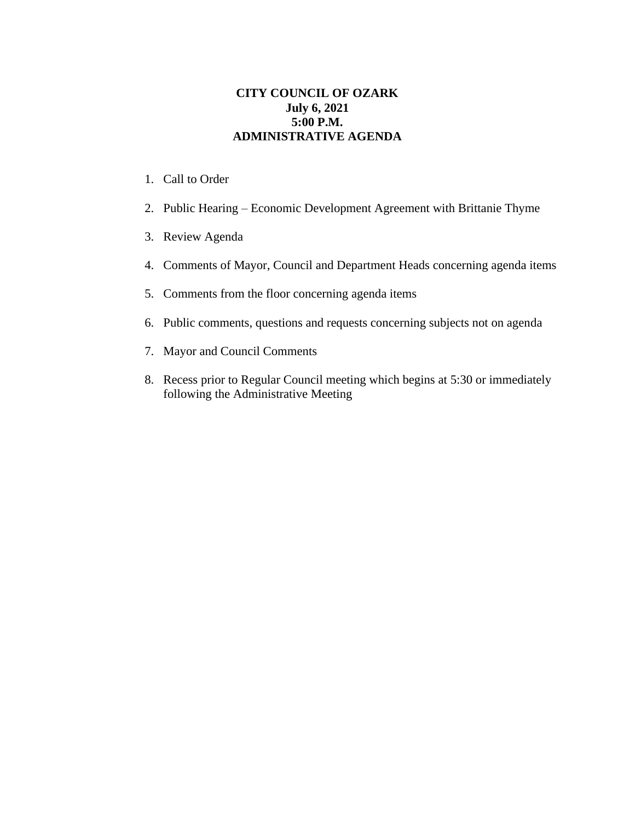## **CITY COUNCIL OF OZARK July 6, 2021 5:00 P.M. ADMINISTRATIVE AGENDA**

- 1. Call to Order
- 2. Public Hearing Economic Development Agreement with Brittanie Thyme
- 3. Review Agenda
- 4. Comments of Mayor, Council and Department Heads concerning agenda items
- 5. Comments from the floor concerning agenda items
- 6. Public comments, questions and requests concerning subjects not on agenda
- 7. Mayor and Council Comments
- 8. Recess prior to Regular Council meeting which begins at 5:30 or immediately following the Administrative Meeting